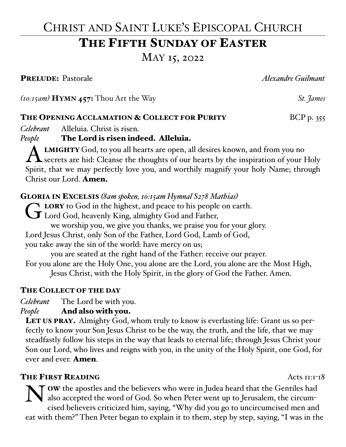# CHRIST AND SAINT LUKE'S EPISCOPAL CHURCH

# THE FIFTH SUNDAY OF EASTER

MAY 15, 2022

#### PRELUDE: Pastorale *Alexandre Guilmant*

*(10:15am)* HYMN 457: Thou Art the Way *St. James*

#### THE OPENING ACCLAMATION & COLLECT FOR PURITY BCP p. 355

*Celebrant* Alleluia. Christ is risen.

#### *People* The Lord is risen indeed. Alleluia.

**ALMIGHTY** God, to you all hearts are open, all desires known, and from you no<br>secrets are hid: Cleanse the thoughts of our hearts by the inspiration of your Holy Spirit, that we may perfectly love you, and worthily magnify your holy Name; through Christ our Lord. Amen.

#### GLORIA IN EXCELSIS *(8am spoken, 10:15am Hymnal S278 Mathias)*

 $\bigcap$  LORY to God in the highest, and peace to his people on earth.  $\bigcup$  Lord God, heavenly King, almighty God and Father, we worship you, we give you thanks, we praise you for your glory. Lord Jesus Christ, only Son of the Father, Lord God, Lamb of God, you take away the sin of the world: have mercy on us; you are seated at the right hand of the Father: receive our prayer. For you alone are the Holy One, you alone are the Lord, you alone are the Most High, Jesus Christ, with the Holy Spirit, in the glory of God the Father. Amen.

#### THE COLLECT OF THE DAY

*Celebrant* The Lord be with you.

#### *People* And also with you.

LET US PRAY. Almighty God, whom truly to know is everlasting life: Grant us so perfectly to know your Son Jesus Christ to be the way, the truth, and the life, that we may steadfastly follow his steps in the way that leads to eternal life; through Jesus Christ your Son our Lord, who lives and reigns with you, in the unity of the Holy Spirit, one God, for ever and ever. **Amen**.

#### THE FIRST READING  $\overline{A}$  and  $\overline{A}$  and  $\overline{A}$  and  $\overline{A}$  and  $\overline{A}$  and  $\overline{A}$  and  $\overline{A}$  and  $\overline{A}$  and  $\overline{A}$  and  $\overline{A}$  and  $\overline{A}$  and  $\overline{A}$  and  $\overline{A}$  and  $\overline{A}$  and  $\overline{A}$  and  $\overline{A}$

T ow the apostles and the believers who were in Judea heard that the Gentiles had also accepted the word of God. So when Peter went up to Jerusalem, the circumcised believers criticized him, saying, "Why did you go to uncircumcised men and eat with them?" Then Peter began to explain it to them, step by step, saying, "I was in the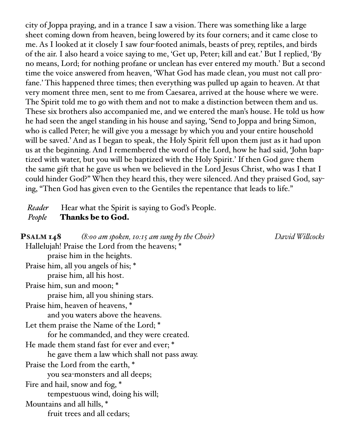city of Joppa praying, and in a trance I saw a vision. There was something like a large sheet coming down from heaven, being lowered by its four corners; and it came close to me. As I looked at it closely I saw four-footed animals, beasts of prey, reptiles, and birds of the air. I also heard a voice saying to me, 'Get up, Peter; kill and eat.' But I replied, 'By no means, Lord; for nothing profane or unclean has ever entered my mouth.' But a second time the voice answered from heaven, 'What God has made clean, you must not call profane.' This happened three times; then everything was pulled up again to heaven. At that very moment three men, sent to me from Caesarea, arrived at the house where we were. The Spirit told me to go with them and not to make a distinction between them and us. These six brothers also accompanied me, and we entered the man's house. He told us how he had seen the angel standing in his house and saying, 'Send to Joppa and bring Simon, who is called Peter; he will give you a message by which you and your entire household will be saved.' And as I began to speak, the Holy Spirit fell upon them just as it had upon us at the beginning. And I remembered the word of the Lord, how he had said, 'John baptized with water, but you will be baptized with the Holy Spirit.' If then God gave them the same gift that he gave us when we believed in the Lord Jesus Christ, who was I that I could hinder God?" When they heard this, they were silenced. And they praised God, saying, "Then God has given even to the Gentiles the repentance that leads to life."

*Reader* Hear what the Spirit is saying to God's People. *People* Thanks be to God.

PSALM 148 *(8:00 am spoken, 10:15 am sung by the Choir) David Willcocks* Hallelujah! Praise the Lord from the heavens; \* praise him in the heights. Praise him, all you angels of his; \* praise him, all his host. Praise him, sun and moon; \* praise him, all you shining stars. Praise him, heaven of heavens, \* and you waters above the heavens. Let them praise the Name of the Lord; \* for he commanded, and they were created. He made them stand fast for ever and ever; \* he gave them a law which shall not pass away. Praise the Lord from the earth, \* you sea-monsters and all deeps; Fire and hail, snow and fog, \* tempestuous wind, doing his will; Mountains and all hills, \* fruit trees and all cedars;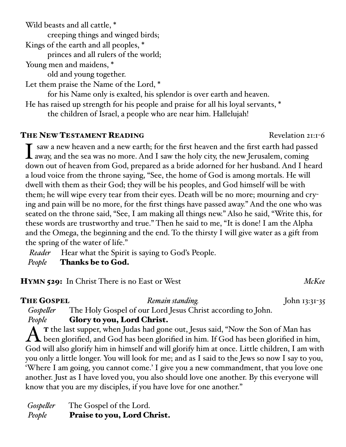Wild beasts and all cattle, \* creeping things and winged birds; Kings of the earth and all peoples, \* princes and all rulers of the world; Young men and maidens, \* old and young together. Let them praise the Name of the Lord, \* for his Name only is exalted, his splendor is over earth and heaven. He has raised up strength for his people and praise for all his loyal servants, \* the children of Israel, a people who are near him. Hallelujah!

#### THE NEW TESTAMENT READING THE REVELATION Revelation 21:1-6

I saw a new heaven and a new earth; for the first heaven and the first earth had passed<br>away, and the sea was no more. And I saw the holy city, the new Jerusalem, coming down out of heaven from God, prepared as a bride adorned for her husband. And I heard a loud voice from the throne saying, "See, the home of God is among mortals. He will dwell with them as their God; they will be his peoples, and God himself will be with them; he will wipe every tear from their eyes. Death will be no more; mourning and crying and pain will be no more, for the first things have passed away." And the one who was seated on the throne said, "See, I am making all things new." Also he said, "Write this, for these words are trustworthy and true." Then he said to me, "It is done! I am the Alpha and the Omega, the beginning and the end. To the thirsty I will give water as a gift from the spring of the water of life."

 *Reader* Hear what the Spirit is saying to God's People. *People* Thanks be to God.

HYMN 529: In Christ There is no East or West *McKee*

**THE GOSPEL** *Remain standing.* John 13:31-35

*Gospeller* The Holy Gospel of our Lord Jesus Christ according to John. *People* Glory to you, Lord Christ.

 $\Lambda$  T the last supper, when Judas had gone out, Jesus said, "Now the Son of Man has been glorified, and God has been glorified in him, If God has been glorified in him, God will also glorify him in himself and will glorify him at once. Little children, I am with you only a little longer. You will look for me; and as I said to the Jews so now I say to you, 'Where I am going, you cannot come.' I give you a new commandment, that you love one another. Just as I have loved you, you also should love one another. By this everyone will know that you are my disciples, if you have love for one another."

*Gospeller* The Gospel of the Lord. *People* **Praise to you, Lord Christ.**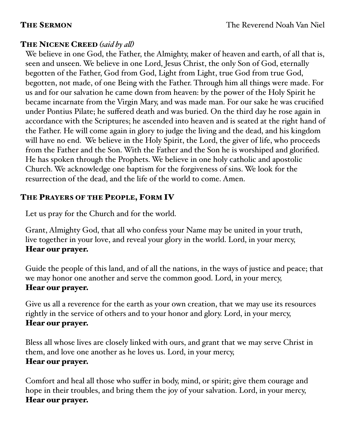#### THE NICENE CREED *(said by all)*

We believe in one God, the Father, the Almighty, maker of heaven and earth, of all that is, seen and unseen. We believe in one Lord, Jesus Christ, the only Son of God, eternally begotten of the Father, God from God, Light from Light, true God from true God, begotten, not made, of one Being with the Father. Through him all things were made. For us and for our salvation he came down from heaven: by the power of the Holy Spirit he became incarnate from the Virgin Mary, and was made man. For our sake he was crucified under Pontius Pilate; he suffered death and was buried. On the third day he rose again in accordance with the Scriptures; he ascended into heaven and is seated at the right hand of the Father. He will come again in glory to judge the living and the dead, and his kingdom will have no end. We believe in the Holy Spirit, the Lord, the giver of life, who proceeds from the Father and the Son. With the Father and the Son he is worshiped and glorified. He has spoken through the Prophets. We believe in one holy catholic and apostolic Church. We acknowledge one baptism for the forgiveness of sins. We look for the resurrection of the dead, and the life of the world to come. Amen.

#### THE PRAYERS OF THE PEOPLE, FORM IV

Let us pray for the Church and for the world.

Grant, Almighty God, that all who confess your Name may be united in your truth, live together in your love, and reveal your glory in the world. Lord, in your mercy, Hear our prayer.

Guide the people of this land, and of all the nations, in the ways of justice and peace; that we may honor one another and serve the common good. Lord, in your mercy, Hear our prayer.

Give us all a reverence for the earth as your own creation, that we may use its resources rightly in the service of others and to your honor and glory. Lord, in your mercy, Hear our prayer.

Bless all whose lives are closely linked with ours, and grant that we may serve Christ in them, and love one another as he loves us. Lord, in your mercy, Hear our prayer.

Comfort and heal all those who suffer in body, mind, or spirit; give them courage and hope in their troubles, and bring them the joy of your salvation. Lord, in your mercy, Hear our prayer.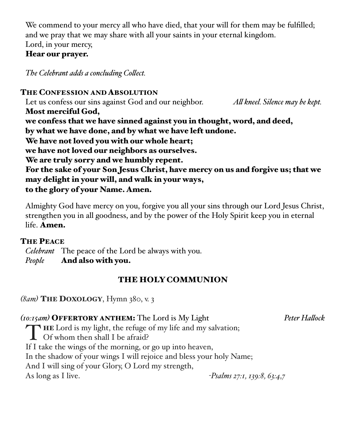We commend to your mercy all who have died, that your will for them may be fulfilled; and we pray that we may share with all your saints in your eternal kingdom. Lord, in your mercy,

#### Hear our prayer.

*The Celebrant adds a concluding Collect.*

THE CONFESSION AND ABSOLUTION Let us confess our sins against God and our neighbor. *All kneel. Silence may be kept.* Most merciful God, we confess that we have sinned against you in thought, word, and deed, by what we have done, and by what we have left undone. We have not loved you with our whole heart; we have not loved our neighbors as ourselves. We are truly sorry and we humbly repent. For the sake of your Son Jesus Christ, have mercy on us and forgive us; that we may delight in your will, and walk in your ways, to the glory of your Name. Amen.

Almighty God have mercy on you, forgive you all your sins through our Lord Jesus Christ, strengthen you in all goodness, and by the power of the Holy Spirit keep you in eternal life. Amen.

#### THE PEACE

*Celebrant* The peace of the Lord be always with you. *People* And also with you.

#### THE HOLY COMMUNION

*(8am)* THE DOXOLOGY, Hymn 380, v. 3

### *(10:15am)* OFFERTORY ANTHEM: The Lord is My Light *Peter Hallock*

THE Lord is my light, the refuge of my life and my salvation;

Of whom then shall I be afraid?

If I take the wings of the morning, or go up into heaven,

In the shadow of your wings I will rejoice and bless your holy Name;

And I will sing of your Glory, O Lord my strength,

As long as I live. *-Psalms 27:1, 139:8, 63:4,7*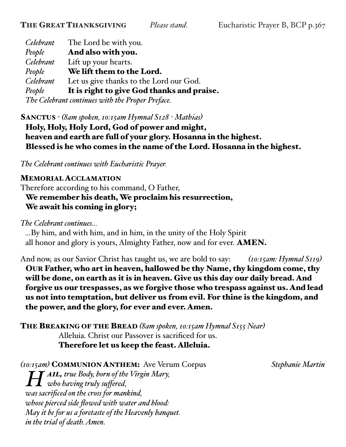*Celebrant* The Lord be with you. *People* And also with you. *Celebrant* Lift up your hearts. *People* We lift them to the Lord. *Celebrant* Let us give thanks to the Lord our God. *People* It is right to give God thanks and praise. *The Celebrant continues with the Proper Preface.*

SANCTUS - *(8am spoken, 10:15am Hymnal S128 - Mathias)*

Holy, Holy, Holy Lord, God of power and might, heaven and earth are full of your glory. Hosanna in the highest. Blessed is he who comes in the name of the Lord. Hosanna in the highest.

*The Celebrant continues with Eucharistic Prayer.*

MEMORIAL ACCLAMATION Therefore according to his command, O Father, We remember his death, We proclaim his resurrection, We await his coming in glory;

*The Celebrant continues…*

*…*By him, and with him, and in him, in the unity of the Holy Spirit all honor and glory is yours, Almighty Father, now and for ever. AMEN.

And now, as our Savior Christ has taught us, we are bold to say: *(10:15am: Hymnal S119)* OUR Father, who art in heaven, hallowed be thy Name, thy kingdom come, thy will be done, on earth as it is in heaven. Give us this day our daily bread. And forgive us our trespasses, as we forgive those who trespass against us. And lead us not into temptation, but deliver us from evil. For thine is the kingdom, and the power, and the glory, for ever and ever. Amen.

THE BREAKING OF THE BREAD *(8am spoken, 10:15am Hymnal S155 Near)* Alleluia. Christ our Passover is sacrificed for us. Therefore let us keep the feast. Alleluia.

*(10:15am)* COMMUNION ANTHEM: Ave Verum Corpus *Stephanie Martin H AIL, true Body, born of the Virgin Mary, who having truly suffered, was sacrificed on the cross for mankind, whose pierced side flowed with water and blood: May it be for us a foretaste of the Heavenly banquet. in the trial of death. Amen.*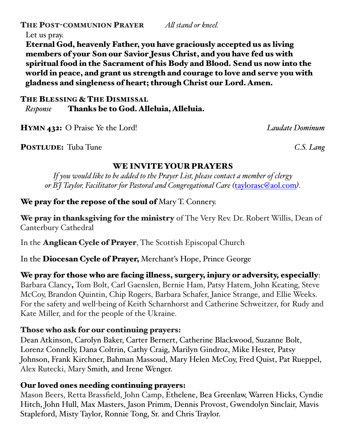#### THE POST-COMMUNION PRAYER *All stand or kneel.*

Let us pray.

Eternal God, heavenly Father, you have graciously accepted us as living members of your Son our Savior Jesus Christ, and you have fed us with spiritual food in the Sacrament of his Body and Blood. Send us now into the world in peace, and grant us strength and courage to love and serve you with gladness and singleness of heart; through Christ our Lord. Amen.

#### THE BLESSING & THE DISMISSAL

*Response* Thanks be to God. Alleluia, Alleluia.

HYMN 432: O Praise Ye the Lord! *Laudate Dominum*

POSTLUDE: Tuba Tune *C.S. Lang*

#### WE INVITE YOUR PRAYERS

*If you would like to be added to the Prayer List, please contact a member of clergy or BJ Taylor, Facilitator for Pastoral and Congregational Care (*[taylorasc@aol.com](mailto:taylorasc@aol.com)*).*

We pray for the repose of the soul of Mary T. Connery.

We pray in thanksgiving for the ministry of The Very Rev. Dr. Robert Willis, Dean of Canterbury Cathedral

In the **Anglican Cycle of Prayer**, The Scottish Episcopal Church

In the Diocesan Cycle of Prayer, Merchant's Hope, Prince George

#### We pray for those who are facing illness, surgery, injury or adversity, especially:

Barbara Clancy, Tom Bolt, Carl Gaenslen, Bernie Ham, Patsy Hatem, John Keating, Steve McCoy, Brandon Quintin, Chip Rogers, Barbara Schafer, Janice Strange, and Ellie Weeks. For the safety and well-being of Keith Scharnhorst and Catherine Schweitzer, for Rudy and Kate Miller, and for the people of the Ukraine.

#### Those who ask for our continuing prayers:

Dean Atkinson, Carolyn Baker, Carter Bernert, Catherine Blackwood, Suzanne Bolt, Lorenz Connelly, Dana Coltrin, Cathy Craig, Marilyn Gindroz, Mike Hester, Patsy Johnson, Frank Kirchner, Bahman Massoud, Mary Helen McCoy, Fred Quist, Pat Rueppel, Alex Rutecki, Mary Smith, and Irene Wenger.

#### Our loved ones needing continuing prayers:

Mason Beers, Retta Brassfield, John Camp, Ethelene, Bea Greenlaw, Warren Hicks, Cyndie Hitch, John Hull, Max Masters, Jason Primm, Dennis Provost, Gwendolyn Sinclair, Mavis Stapleford, Misty Taylor, Ronnie Tong, Sr. and Chris Traylor.